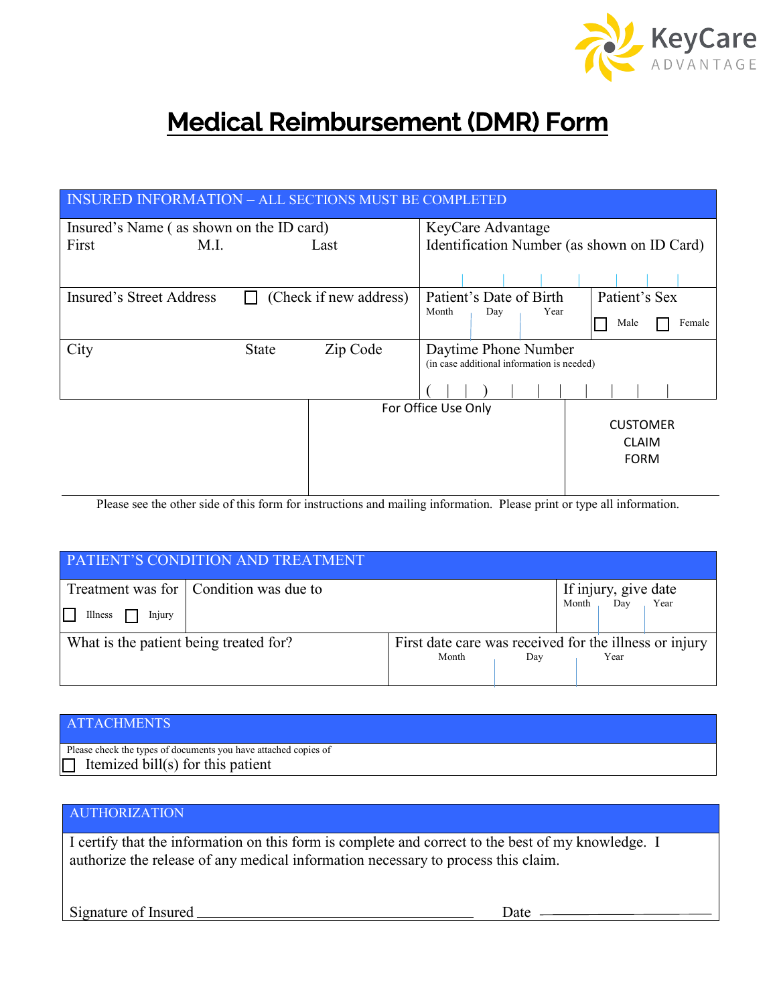

# **Medical Reimbursement (DMR) Form**

| <b>INSURED INFORMATION - ALL SECTIONS MUST BE COMPLETED</b> |              |                        |                                                                    |     |                 |                |  |  |  |  |  |
|-------------------------------------------------------------|--------------|------------------------|--------------------------------------------------------------------|-----|-----------------|----------------|--|--|--|--|--|
| Insured's Name (as shown on the ID card)                    |              |                        | KeyCare Advantage                                                  |     |                 |                |  |  |  |  |  |
| First                                                       | M.L          | Last                   | Identification Number (as shown on ID Card)                        |     |                 |                |  |  |  |  |  |
|                                                             |              |                        |                                                                    |     |                 |                |  |  |  |  |  |
| Insured's Street Address                                    |              | (Check if new address) | Patient's Date of Birth                                            |     |                 | Patient's Sex  |  |  |  |  |  |
|                                                             |              |                        | Month                                                              | Day | Year            | Male<br>Female |  |  |  |  |  |
| City                                                        | <b>State</b> | Zip Code               | Daytime Phone Number<br>(in case additional information is needed) |     |                 |                |  |  |  |  |  |
|                                                             |              |                        |                                                                    |     |                 |                |  |  |  |  |  |
|                                                             |              | For Office Use Only    |                                                                    |     |                 |                |  |  |  |  |  |
|                                                             |              |                        |                                                                    |     | <b>CUSTOMER</b> |                |  |  |  |  |  |
|                                                             |              |                        |                                                                    |     |                 | <b>CLAIM</b>   |  |  |  |  |  |
|                                                             |              |                        |                                                                    |     |                 | <b>FORM</b>    |  |  |  |  |  |
|                                                             |              |                        |                                                                    |     |                 |                |  |  |  |  |  |

Please see the other side of this form for instructions and mailing information. Please print or type all information.

| <b>PATIENT'S CONDITION AND TREATMENT</b>                                      |                                                                 |     |       |                             |      |  |  |  |  |  |
|-------------------------------------------------------------------------------|-----------------------------------------------------------------|-----|-------|-----------------------------|------|--|--|--|--|--|
| Treatment was for   Condition was due to<br>$\mathbf{L}$<br>Illness<br>Injury |                                                                 |     | Month | If injury, give date<br>Dav | Year |  |  |  |  |  |
| What is the patient being treated for?                                        | First date care was received for the illness or injury<br>Month | Day |       | Year                        |      |  |  |  |  |  |

#### ATTACHMENTS

Please check the types of documents you have attached copies of Itemized bill(s) for this patient ┑

 $\overline{a}$ 

## AUTHORIZATION

I certify that the information on this form is complete and correct to the best of my knowledge. I authorize the release of any medical information necessary to process this claim.

Signature of Insured Date